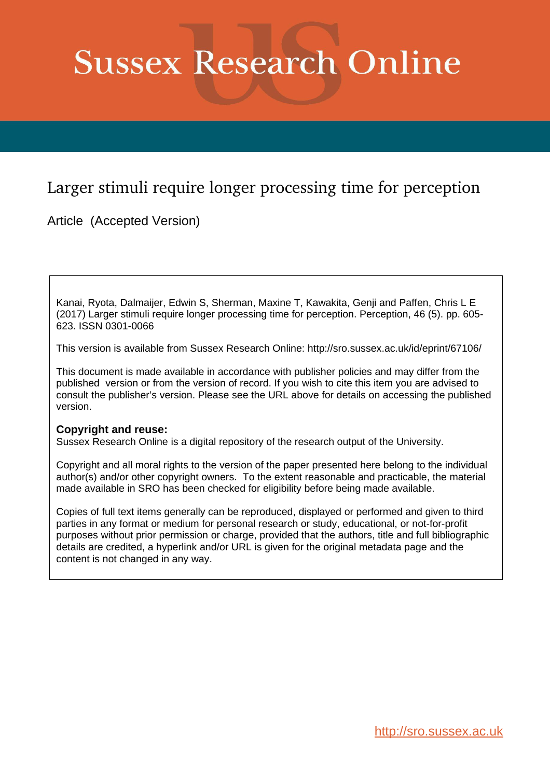# **Sussex Research Online**

# Larger stimuli require longer processing time for perception

Article (Accepted Version)

Kanai, Ryota, Dalmaijer, Edwin S, Sherman, Maxine T, Kawakita, Genji and Paffen, Chris L E (2017) Larger stimuli require longer processing time for perception. Perception, 46 (5). pp. 605- 623. ISSN 0301-0066

This version is available from Sussex Research Online: http://sro.sussex.ac.uk/id/eprint/67106/

This document is made available in accordance with publisher policies and may differ from the published version or from the version of record. If you wish to cite this item you are advised to consult the publisher's version. Please see the URL above for details on accessing the published version.

#### **Copyright and reuse:**

Sussex Research Online is a digital repository of the research output of the University.

Copyright and all moral rights to the version of the paper presented here belong to the individual author(s) and/or other copyright owners. To the extent reasonable and practicable, the material made available in SRO has been checked for eligibility before being made available.

Copies of full text items generally can be reproduced, displayed or performed and given to third parties in any format or medium for personal research or study, educational, or not-for-profit purposes without prior permission or charge, provided that the authors, title and full bibliographic details are credited, a hyperlink and/or URL is given for the original metadata page and the content is not changed in any way.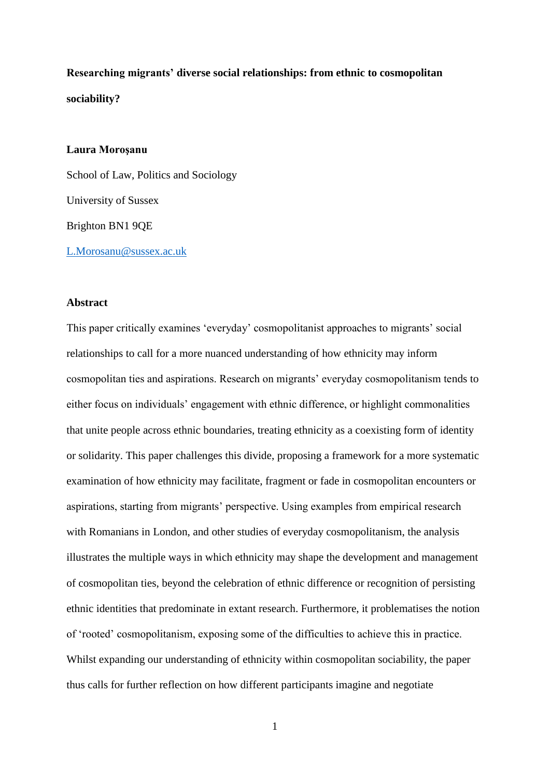**Researching migrants' diverse social relationships: from ethnic to cosmopolitan sociability?**

#### **Laura Moroşanu**

School of Law, Politics and Sociology University of Sussex Brighton BN1 9QE [L.Morosanu@sussex.ac.uk](mailto:L.Morosanu@sussex.ac.uk)

#### **Abstract**

This paper critically examines 'everyday' cosmopolitanist approaches to migrants' social relationships to call for a more nuanced understanding of how ethnicity may inform cosmopolitan ties and aspirations. Research on migrants' everyday cosmopolitanism tends to either focus on individuals' engagement with ethnic difference, or highlight commonalities that unite people across ethnic boundaries, treating ethnicity as a coexisting form of identity or solidarity. This paper challenges this divide, proposing a framework for a more systematic examination of how ethnicity may facilitate, fragment or fade in cosmopolitan encounters or aspirations, starting from migrants' perspective. Using examples from empirical research with Romanians in London, and other studies of everyday cosmopolitanism, the analysis illustrates the multiple ways in which ethnicity may shape the development and management of cosmopolitan ties, beyond the celebration of ethnic difference or recognition of persisting ethnic identities that predominate in extant research. Furthermore, it problematises the notion of 'rooted' cosmopolitanism, exposing some of the difficulties to achieve this in practice. Whilst expanding our understanding of ethnicity within cosmopolitan sociability, the paper thus calls for further reflection on how different participants imagine and negotiate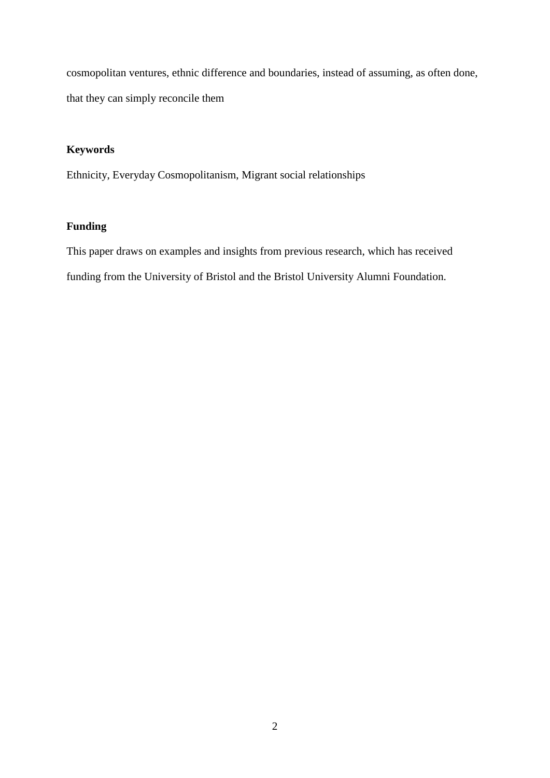cosmopolitan ventures, ethnic difference and boundaries, instead of assuming, as often done, that they can simply reconcile them

## **Keywords**

Ethnicity, Everyday Cosmopolitanism, Migrant social relationships

### **Funding**

This paper draws on examples and insights from previous research, which has received funding from the University of Bristol and the Bristol University Alumni Foundation.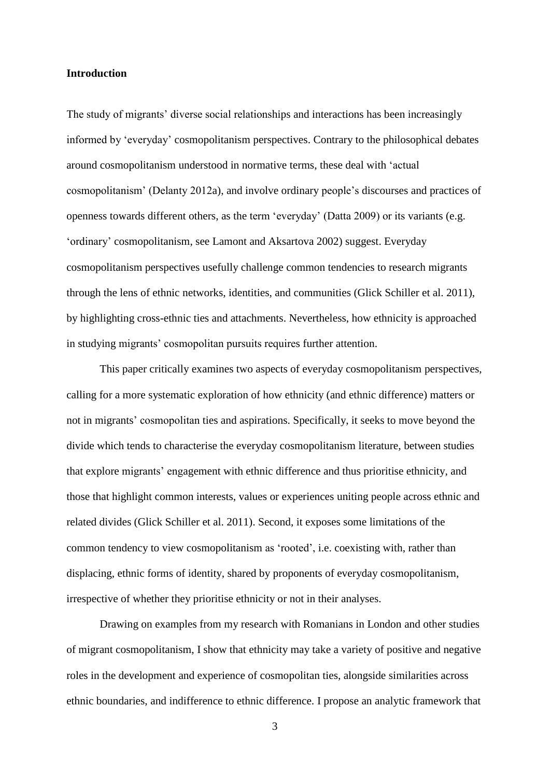#### **Introduction**

The study of migrants' diverse social relationships and interactions has been increasingly informed by 'everyday' cosmopolitanism perspectives. Contrary to the philosophical debates around cosmopolitanism understood in normative terms, these deal with 'actual cosmopolitanism' (Delanty 2012a), and involve ordinary people's discourses and practices of openness towards different others, as the term 'everyday' (Datta 2009) or its variants (e.g. 'ordinary' cosmopolitanism, see Lamont and Aksartova 2002) suggest. Everyday cosmopolitanism perspectives usefully challenge common tendencies to research migrants through the lens of ethnic networks, identities, and communities (Glick Schiller et al. 2011), by highlighting cross-ethnic ties and attachments. Nevertheless, how ethnicity is approached in studying migrants' cosmopolitan pursuits requires further attention.

This paper critically examines two aspects of everyday cosmopolitanism perspectives, calling for a more systematic exploration of how ethnicity (and ethnic difference) matters or not in migrants' cosmopolitan ties and aspirations. Specifically, it seeks to move beyond the divide which tends to characterise the everyday cosmopolitanism literature, between studies that explore migrants' engagement with ethnic difference and thus prioritise ethnicity, and those that highlight common interests, values or experiences uniting people across ethnic and related divides (Glick Schiller et al. 2011). Second, it exposes some limitations of the common tendency to view cosmopolitanism as 'rooted', i.e. coexisting with, rather than displacing, ethnic forms of identity, shared by proponents of everyday cosmopolitanism, irrespective of whether they prioritise ethnicity or not in their analyses.

Drawing on examples from my research with Romanians in London and other studies of migrant cosmopolitanism, I show that ethnicity may take a variety of positive and negative roles in the development and experience of cosmopolitan ties, alongside similarities across ethnic boundaries, and indifference to ethnic difference. I propose an analytic framework that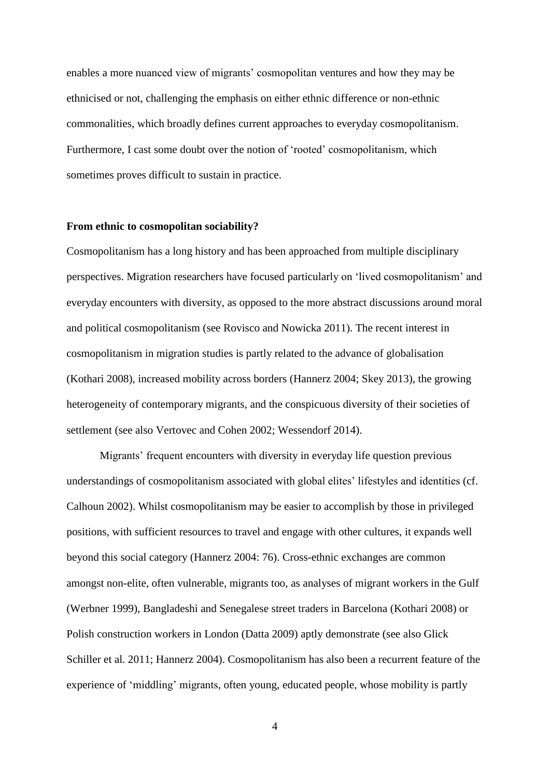enables a more nuanced view of migrants' cosmopolitan ventures and how they may be ethnicised or not, challenging the emphasis on either ethnic difference or non-ethnic commonalities, which broadly defines current approaches to everyday cosmopolitanism. Furthermore, I cast some doubt over the notion of 'rooted' cosmopolitanism, which sometimes proves difficult to sustain in practice.

#### **From ethnic to cosmopolitan sociability?**

Cosmopolitanism has a long history and has been approached from multiple disciplinary perspectives. Migration researchers have focused particularly on 'lived cosmopolitanism' and everyday encounters with diversity, as opposed to the more abstract discussions around moral and political cosmopolitanism (see Rovisco and Nowicka 2011). The recent interest in cosmopolitanism in migration studies is partly related to the advance of globalisation (Kothari 2008), increased mobility across borders (Hannerz 2004; Skey 2013), the growing heterogeneity of contemporary migrants, and the conspicuous diversity of their societies of settlement (see also Vertovec and Cohen 2002; Wessendorf 2014).

Migrants' frequent encounters with diversity in everyday life question previous understandings of cosmopolitanism associated with global elites' lifestyles and identities (cf. Calhoun 2002). Whilst cosmopolitanism may be easier to accomplish by those in privileged positions, with sufficient resources to travel and engage with other cultures, it expands well beyond this social category (Hannerz 2004: 76). Cross-ethnic exchanges are common amongst non-elite, often vulnerable, migrants too, as analyses of migrant workers in the Gulf (Werbner 1999), Bangladeshi and Senegalese street traders in Barcelona (Kothari 2008) or Polish construction workers in London (Datta 2009) aptly demonstrate (see also Glick Schiller et al. 2011; Hannerz 2004). Cosmopolitanism has also been a recurrent feature of the experience of 'middling' migrants, often young, educated people, whose mobility is partly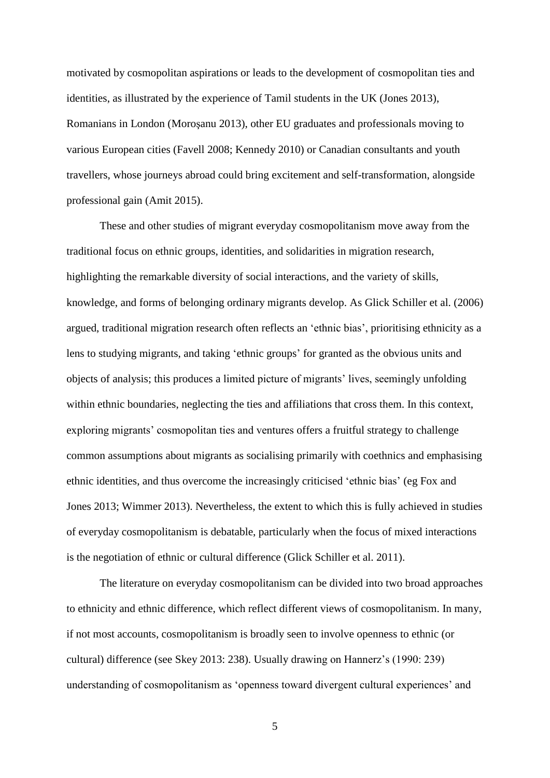motivated by cosmopolitan aspirations or leads to the development of cosmopolitan ties and identities, as illustrated by the experience of Tamil students in the UK (Jones 2013), Romanians in London (Moroşanu 2013), other EU graduates and professionals moving to various European cities (Favell 2008; Kennedy 2010) or Canadian consultants and youth travellers, whose journeys abroad could bring excitement and self-transformation, alongside professional gain (Amit 2015).

These and other studies of migrant everyday cosmopolitanism move away from the traditional focus on ethnic groups, identities, and solidarities in migration research, highlighting the remarkable diversity of social interactions, and the variety of skills, knowledge, and forms of belonging ordinary migrants develop. As Glick Schiller et al. (2006) argued, traditional migration research often reflects an 'ethnic bias', prioritising ethnicity as a lens to studying migrants, and taking 'ethnic groups' for granted as the obvious units and objects of analysis; this produces a limited picture of migrants' lives, seemingly unfolding within ethnic boundaries, neglecting the ties and affiliations that cross them. In this context, exploring migrants' cosmopolitan ties and ventures offers a fruitful strategy to challenge common assumptions about migrants as socialising primarily with coethnics and emphasising ethnic identities, and thus overcome the increasingly criticised 'ethnic bias' (eg Fox and Jones 2013; Wimmer 2013). Nevertheless, the extent to which this is fully achieved in studies of everyday cosmopolitanism is debatable, particularly when the focus of mixed interactions is the negotiation of ethnic or cultural difference (Glick Schiller et al. 2011).

The literature on everyday cosmopolitanism can be divided into two broad approaches to ethnicity and ethnic difference, which reflect different views of cosmopolitanism. In many, if not most accounts, cosmopolitanism is broadly seen to involve openness to ethnic (or cultural) difference (see Skey 2013: 238). Usually drawing on Hannerz's (1990: 239) understanding of cosmopolitanism as 'openness toward divergent cultural experiences' and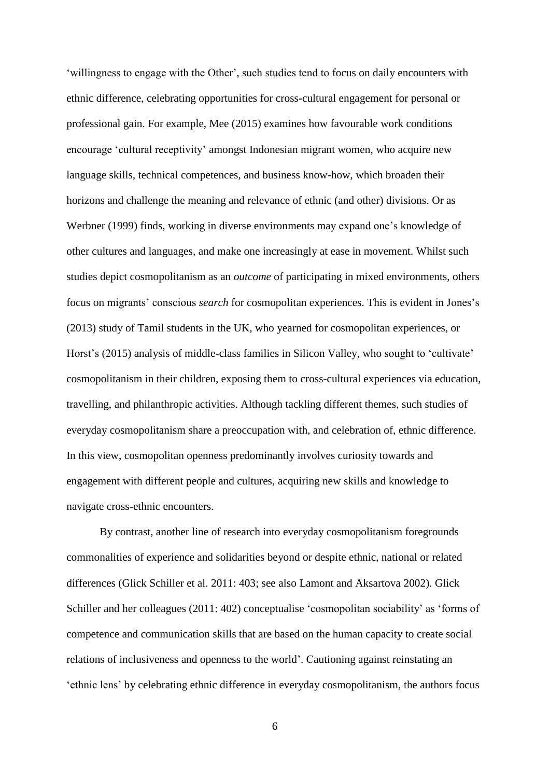'willingness to engage with the Other', such studies tend to focus on daily encounters with ethnic difference, celebrating opportunities for cross-cultural engagement for personal or professional gain. For example, Mee (2015) examines how favourable work conditions encourage 'cultural receptivity' amongst Indonesian migrant women, who acquire new language skills, technical competences, and business know-how, which broaden their horizons and challenge the meaning and relevance of ethnic (and other) divisions. Or as Werbner (1999) finds, working in diverse environments may expand one's knowledge of other cultures and languages, and make one increasingly at ease in movement. Whilst such studies depict cosmopolitanism as an *outcome* of participating in mixed environments, others focus on migrants' conscious *search* for cosmopolitan experiences. This is evident in Jones's (2013) study of Tamil students in the UK, who yearned for cosmopolitan experiences, or Horst's (2015) analysis of middle-class families in Silicon Valley, who sought to 'cultivate' cosmopolitanism in their children, exposing them to cross-cultural experiences via education, travelling, and philanthropic activities. Although tackling different themes, such studies of everyday cosmopolitanism share a preoccupation with, and celebration of, ethnic difference. In this view, cosmopolitan openness predominantly involves curiosity towards and engagement with different people and cultures, acquiring new skills and knowledge to navigate cross-ethnic encounters.

By contrast, another line of research into everyday cosmopolitanism foregrounds commonalities of experience and solidarities beyond or despite ethnic, national or related differences (Glick Schiller et al. 2011: 403; see also Lamont and Aksartova 2002). Glick Schiller and her colleagues (2011: 402) conceptualise 'cosmopolitan sociability' as 'forms of competence and communication skills that are based on the human capacity to create social relations of inclusiveness and openness to the world'. Cautioning against reinstating an 'ethnic lens' by celebrating ethnic difference in everyday cosmopolitanism, the authors focus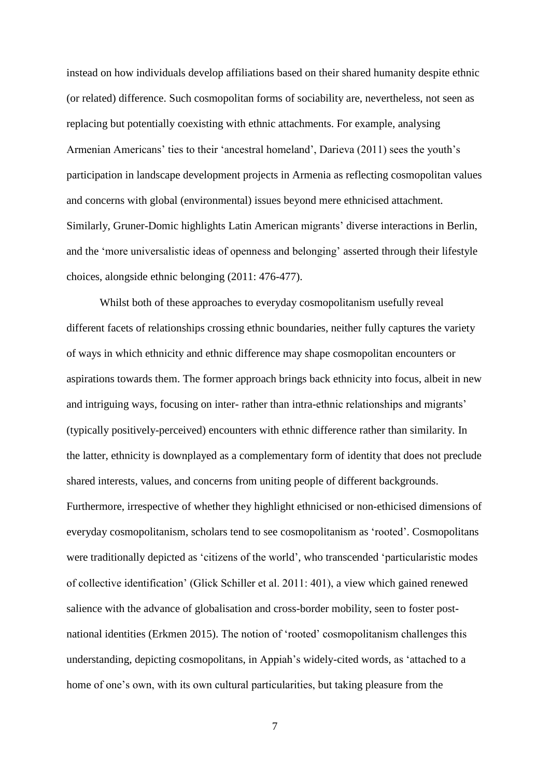instead on how individuals develop affiliations based on their shared humanity despite ethnic (or related) difference. Such cosmopolitan forms of sociability are, nevertheless, not seen as replacing but potentially coexisting with ethnic attachments. For example, analysing Armenian Americans' ties to their 'ancestral homeland', Darieva (2011) sees the youth's participation in landscape development projects in Armenia as reflecting cosmopolitan values and concerns with global (environmental) issues beyond mere ethnicised attachment. Similarly, Gruner-Domic highlights Latin American migrants' diverse interactions in Berlin, and the 'more universalistic ideas of openness and belonging' asserted through their lifestyle choices, alongside ethnic belonging (2011: 476-477).

Whilst both of these approaches to everyday cosmopolitanism usefully reveal different facets of relationships crossing ethnic boundaries, neither fully captures the variety of ways in which ethnicity and ethnic difference may shape cosmopolitan encounters or aspirations towards them. The former approach brings back ethnicity into focus, albeit in new and intriguing ways, focusing on inter- rather than intra-ethnic relationships and migrants' (typically positively-perceived) encounters with ethnic difference rather than similarity. In the latter, ethnicity is downplayed as a complementary form of identity that does not preclude shared interests, values, and concerns from uniting people of different backgrounds. Furthermore, irrespective of whether they highlight ethnicised or non-ethicised dimensions of everyday cosmopolitanism, scholars tend to see cosmopolitanism as 'rooted'. Cosmopolitans were traditionally depicted as 'citizens of the world', who transcended 'particularistic modes of collective identification' (Glick Schiller et al. 2011: 401), a view which gained renewed salience with the advance of globalisation and cross-border mobility, seen to foster postnational identities (Erkmen 2015). The notion of 'rooted' cosmopolitanism challenges this understanding, depicting cosmopolitans, in Appiah's widely-cited words, as 'attached to a home of one's own, with its own cultural particularities, but taking pleasure from the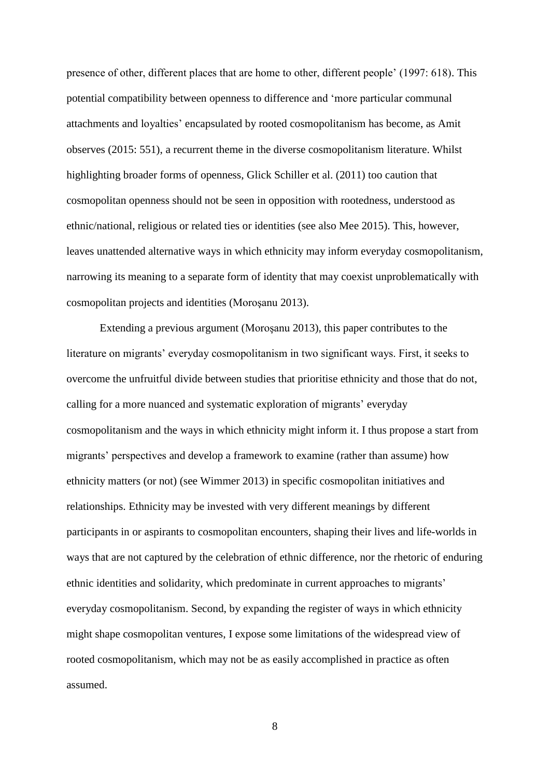presence of other, different places that are home to other, different people' (1997: 618). This potential compatibility between openness to difference and 'more particular communal attachments and loyalties' encapsulated by rooted cosmopolitanism has become, as Amit observes (2015: 551), a recurrent theme in the diverse cosmopolitanism literature. Whilst highlighting broader forms of openness, Glick Schiller et al. (2011) too caution that cosmopolitan openness should not be seen in opposition with rootedness, understood as ethnic/national, religious or related ties or identities (see also Mee 2015). This, however, leaves unattended alternative ways in which ethnicity may inform everyday cosmopolitanism, narrowing its meaning to a separate form of identity that may coexist unproblematically with cosmopolitan projects and identities (Moroşanu 2013).

Extending a previous argument (Moroşanu 2013), this paper contributes to the literature on migrants' everyday cosmopolitanism in two significant ways. First, it seeks to overcome the unfruitful divide between studies that prioritise ethnicity and those that do not, calling for a more nuanced and systematic exploration of migrants' everyday cosmopolitanism and the ways in which ethnicity might inform it. I thus propose a start from migrants' perspectives and develop a framework to examine (rather than assume) how ethnicity matters (or not) (see Wimmer 2013) in specific cosmopolitan initiatives and relationships. Ethnicity may be invested with very different meanings by different participants in or aspirants to cosmopolitan encounters, shaping their lives and life-worlds in ways that are not captured by the celebration of ethnic difference, nor the rhetoric of enduring ethnic identities and solidarity, which predominate in current approaches to migrants' everyday cosmopolitanism. Second, by expanding the register of ways in which ethnicity might shape cosmopolitan ventures, I expose some limitations of the widespread view of rooted cosmopolitanism, which may not be as easily accomplished in practice as often assumed.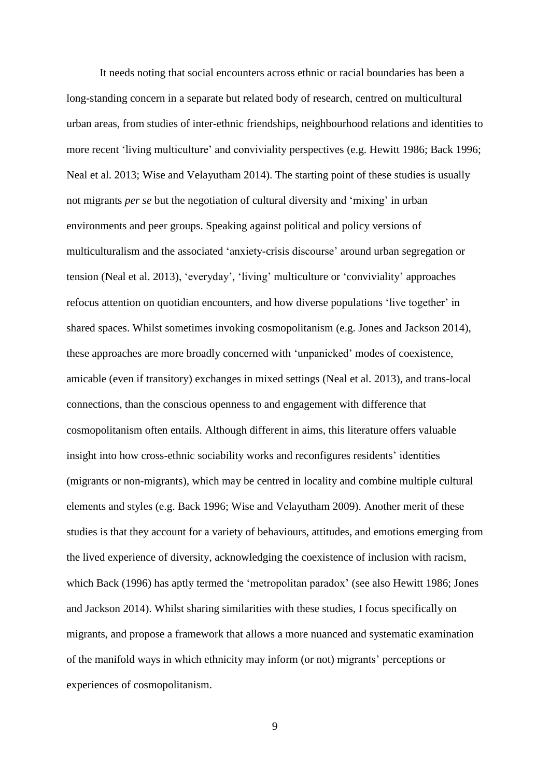It needs noting that social encounters across ethnic or racial boundaries has been a long-standing concern in a separate but related body of research, centred on multicultural urban areas, from studies of inter-ethnic friendships, neighbourhood relations and identities to more recent 'living multiculture' and conviviality perspectives (e.g. Hewitt 1986; Back 1996; Neal et al. 2013; Wise and Velayutham 2014). The starting point of these studies is usually not migrants *per se* but the negotiation of cultural diversity and 'mixing' in urban environments and peer groups. Speaking against political and policy versions of multiculturalism and the associated 'anxiety-crisis discourse' around urban segregation or tension (Neal et al. 2013), 'everyday', 'living' multiculture or 'conviviality' approaches refocus attention on quotidian encounters, and how diverse populations 'live together' in shared spaces. Whilst sometimes invoking cosmopolitanism (e.g. Jones and Jackson 2014), these approaches are more broadly concerned with 'unpanicked' modes of coexistence, amicable (even if transitory) exchanges in mixed settings (Neal et al. 2013), and trans-local connections, than the conscious openness to and engagement with difference that cosmopolitanism often entails. Although different in aims, this literature offers valuable insight into how cross-ethnic sociability works and reconfigures residents' identities (migrants or non-migrants), which may be centred in locality and combine multiple cultural elements and styles (e.g. Back 1996; Wise and Velayutham 2009). Another merit of these studies is that they account for a variety of behaviours, attitudes, and emotions emerging from the lived experience of diversity, acknowledging the coexistence of inclusion with racism, which Back (1996) has aptly termed the 'metropolitan paradox' (see also Hewitt 1986; Jones and Jackson 2014). Whilst sharing similarities with these studies, I focus specifically on migrants, and propose a framework that allows a more nuanced and systematic examination of the manifold ways in which ethnicity may inform (or not) migrants' perceptions or experiences of cosmopolitanism.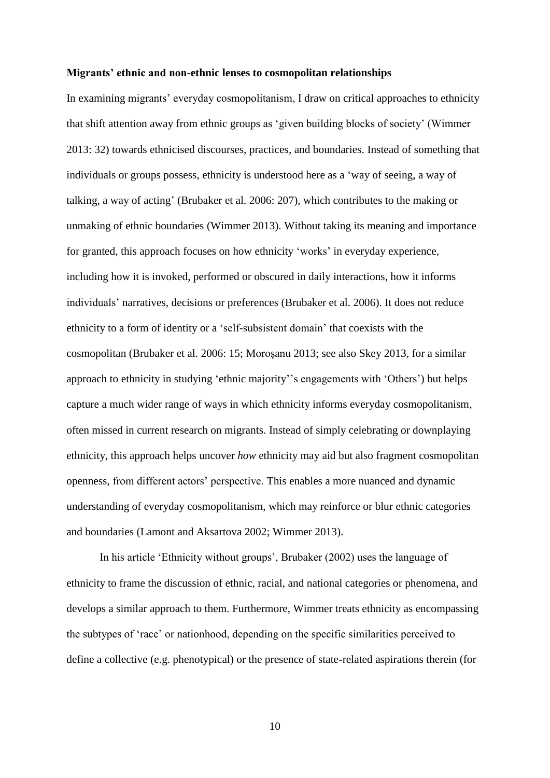#### **Migrants' ethnic and non-ethnic lenses to cosmopolitan relationships**

In examining migrants' everyday cosmopolitanism, I draw on critical approaches to ethnicity that shift attention away from ethnic groups as 'given building blocks of society' (Wimmer 2013: 32) towards ethnicised discourses, practices, and boundaries. Instead of something that individuals or groups possess, ethnicity is understood here as a 'way of seeing, a way of talking, a way of acting' (Brubaker et al. 2006: 207), which contributes to the making or unmaking of ethnic boundaries (Wimmer 2013). Without taking its meaning and importance for granted, this approach focuses on how ethnicity 'works' in everyday experience, including how it is invoked, performed or obscured in daily interactions, how it informs individuals' narratives, decisions or preferences (Brubaker et al. 2006). It does not reduce ethnicity to a form of identity or a 'self-subsistent domain' that coexists with the cosmopolitan (Brubaker et al. 2006: 15; Moroşanu 2013; see also Skey 2013, for a similar approach to ethnicity in studying 'ethnic majority''s engagements with 'Others') but helps capture a much wider range of ways in which ethnicity informs everyday cosmopolitanism, often missed in current research on migrants. Instead of simply celebrating or downplaying ethnicity, this approach helps uncover *how* ethnicity may aid but also fragment cosmopolitan openness, from different actors' perspective. This enables a more nuanced and dynamic understanding of everyday cosmopolitanism, which may reinforce or blur ethnic categories and boundaries (Lamont and Aksartova 2002; Wimmer 2013).

In his article 'Ethnicity without groups', Brubaker (2002) uses the language of ethnicity to frame the discussion of ethnic, racial, and national categories or phenomena, and develops a similar approach to them. Furthermore, Wimmer treats ethnicity as encompassing the subtypes of 'race' or nationhood, depending on the specific similarities perceived to define a collective (e.g. phenotypical) or the presence of state-related aspirations therein (for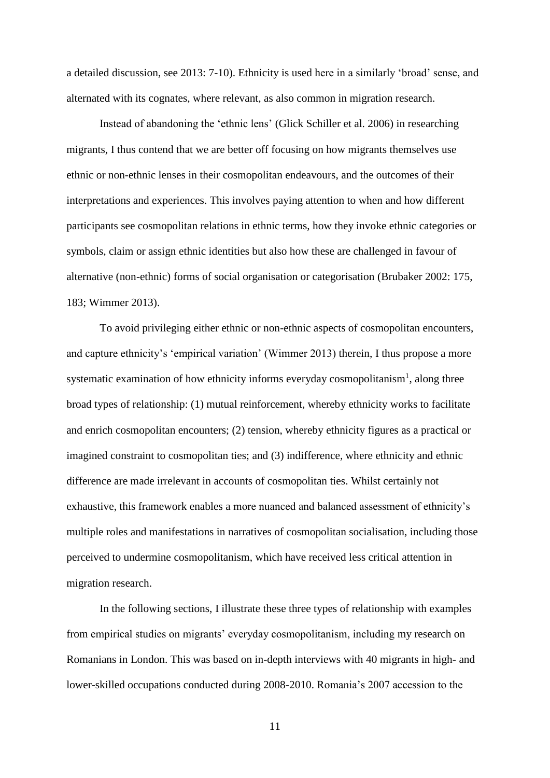a detailed discussion, see 2013: 7-10). Ethnicity is used here in a similarly 'broad' sense, and alternated with its cognates, where relevant, as also common in migration research.

Instead of abandoning the 'ethnic lens' (Glick Schiller et al. 2006) in researching migrants, I thus contend that we are better off focusing on how migrants themselves use ethnic or non-ethnic lenses in their cosmopolitan endeavours, and the outcomes of their interpretations and experiences. This involves paying attention to when and how different participants see cosmopolitan relations in ethnic terms, how they invoke ethnic categories or symbols, claim or assign ethnic identities but also how these are challenged in favour of alternative (non-ethnic) forms of social organisation or categorisation (Brubaker 2002: 175, 183; Wimmer 2013).

To avoid privileging either ethnic or non-ethnic aspects of cosmopolitan encounters, and capture ethnicity's 'empirical variation' (Wimmer 2013) therein, I thus propose a more systematic examination of how ethnicity informs everyday cosmopolitanism<sup>1</sup>, along three broad types of relationship: (1) mutual reinforcement, whereby ethnicity works to facilitate and enrich cosmopolitan encounters; (2) tension, whereby ethnicity figures as a practical or imagined constraint to cosmopolitan ties; and (3) indifference*,* where ethnicity and ethnic difference are made irrelevant in accounts of cosmopolitan ties. Whilst certainly not exhaustive, this framework enables a more nuanced and balanced assessment of ethnicity's multiple roles and manifestations in narratives of cosmopolitan socialisation, including those perceived to undermine cosmopolitanism, which have received less critical attention in migration research.

In the following sections, I illustrate these three types of relationship with examples from empirical studies on migrants' everyday cosmopolitanism, including my research on Romanians in London. This was based on in-depth interviews with 40 migrants in high- and lower-skilled occupations conducted during 2008-2010. Romania's 2007 accession to the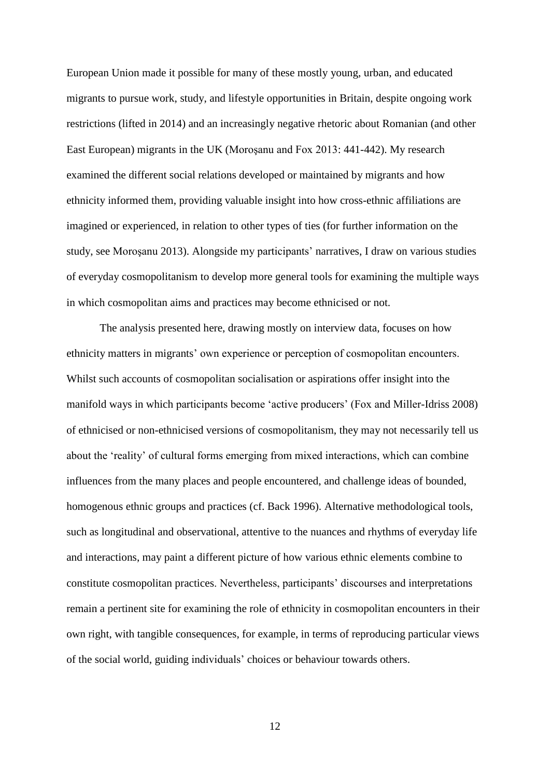European Union made it possible for many of these mostly young, urban, and educated migrants to pursue work, study, and lifestyle opportunities in Britain, despite ongoing work restrictions (lifted in 2014) and an increasingly negative rhetoric about Romanian (and other East European) migrants in the UK (Moroşanu and Fox 2013: 441-442). My research examined the different social relations developed or maintained by migrants and how ethnicity informed them, providing valuable insight into how cross-ethnic affiliations are imagined or experienced, in relation to other types of ties (for further information on the study, see Moroşanu 2013). Alongside my participants' narratives, I draw on various studies of everyday cosmopolitanism to develop more general tools for examining the multiple ways in which cosmopolitan aims and practices may become ethnicised or not.

The analysis presented here, drawing mostly on interview data, focuses on how ethnicity matters in migrants' own experience or perception of cosmopolitan encounters. Whilst such accounts of cosmopolitan socialisation or aspirations offer insight into the manifold ways in which participants become 'active producers' (Fox and Miller-Idriss 2008) of ethnicised or non-ethnicised versions of cosmopolitanism, they may not necessarily tell us about the 'reality' of cultural forms emerging from mixed interactions, which can combine influences from the many places and people encountered, and challenge ideas of bounded, homogenous ethnic groups and practices (cf. Back 1996). Alternative methodological tools, such as longitudinal and observational, attentive to the nuances and rhythms of everyday life and interactions, may paint a different picture of how various ethnic elements combine to constitute cosmopolitan practices. Nevertheless, participants' discourses and interpretations remain a pertinent site for examining the role of ethnicity in cosmopolitan encounters in their own right, with tangible consequences, for example, in terms of reproducing particular views of the social world, guiding individuals' choices or behaviour towards others.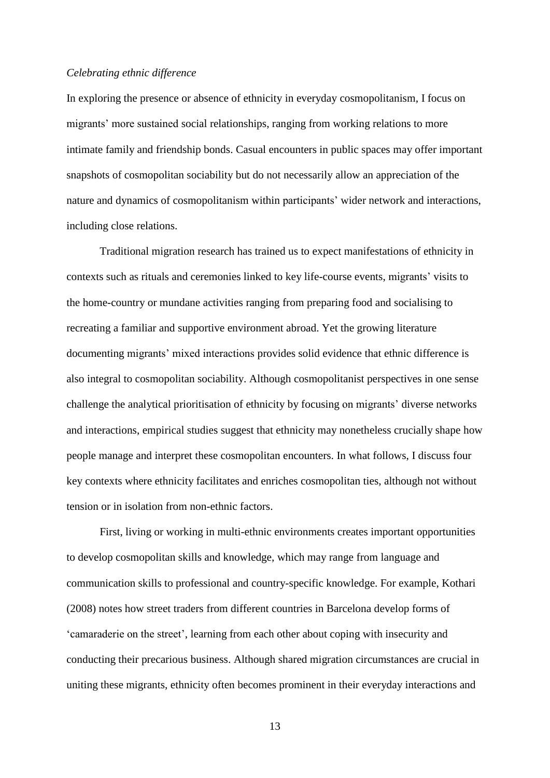#### *Celebrating ethnic difference*

In exploring the presence or absence of ethnicity in everyday cosmopolitanism, I focus on migrants' more sustained social relationships, ranging from working relations to more intimate family and friendship bonds. Casual encounters in public spaces may offer important snapshots of cosmopolitan sociability but do not necessarily allow an appreciation of the nature and dynamics of cosmopolitanism within participants' wider network and interactions, including close relations.

Traditional migration research has trained us to expect manifestations of ethnicity in contexts such as rituals and ceremonies linked to key life-course events, migrants' visits to the home-country or mundane activities ranging from preparing food and socialising to recreating a familiar and supportive environment abroad. Yet the growing literature documenting migrants' mixed interactions provides solid evidence that ethnic difference is also integral to cosmopolitan sociability. Although cosmopolitanist perspectives in one sense challenge the analytical prioritisation of ethnicity by focusing on migrants' diverse networks and interactions, empirical studies suggest that ethnicity may nonetheless crucially shape how people manage and interpret these cosmopolitan encounters. In what follows, I discuss four key contexts where ethnicity facilitates and enriches cosmopolitan ties, although not without tension or in isolation from non-ethnic factors.

First, living or working in multi-ethnic environments creates important opportunities to develop cosmopolitan skills and knowledge, which may range from language and communication skills to professional and country-specific knowledge. For example, Kothari (2008) notes how street traders from different countries in Barcelona develop forms of 'camaraderie on the street', learning from each other about coping with insecurity and conducting their precarious business. Although shared migration circumstances are crucial in uniting these migrants, ethnicity often becomes prominent in their everyday interactions and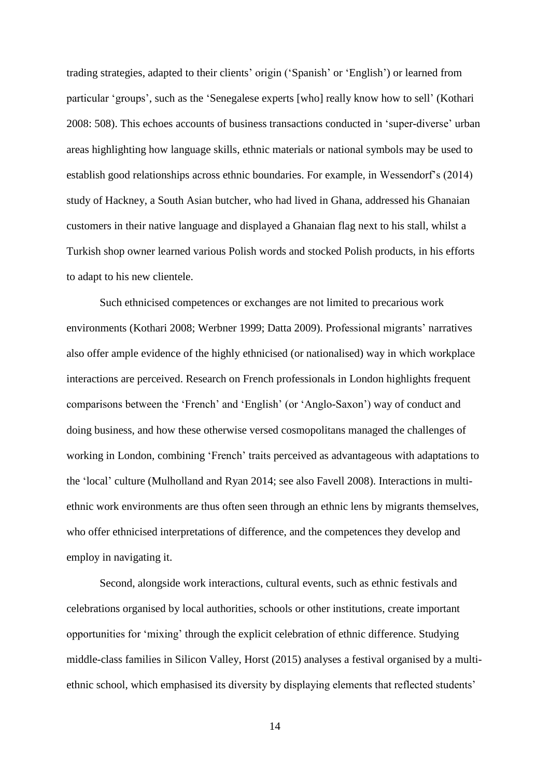trading strategies, adapted to their clients' origin ('Spanish' or 'English') or learned from particular 'groups', such as the 'Senegalese experts [who] really know how to sell' (Kothari 2008: 508). This echoes accounts of business transactions conducted in 'super-diverse' urban areas highlighting how language skills, ethnic materials or national symbols may be used to establish good relationships across ethnic boundaries. For example, in Wessendorf's (2014) study of Hackney, a South Asian butcher, who had lived in Ghana, addressed his Ghanaian customers in their native language and displayed a Ghanaian flag next to his stall, whilst a Turkish shop owner learned various Polish words and stocked Polish products, in his efforts to adapt to his new clientele.

Such ethnicised competences or exchanges are not limited to precarious work environments (Kothari 2008; Werbner 1999; Datta 2009). Professional migrants' narratives also offer ample evidence of the highly ethnicised (or nationalised) way in which workplace interactions are perceived. Research on French professionals in London highlights frequent comparisons between the 'French' and 'English' (or 'Anglo-Saxon') way of conduct and doing business, and how these otherwise versed cosmopolitans managed the challenges of working in London, combining 'French' traits perceived as advantageous with adaptations to the 'local' culture (Mulholland and Ryan 2014; see also Favell 2008). Interactions in multiethnic work environments are thus often seen through an ethnic lens by migrants themselves, who offer ethnicised interpretations of difference, and the competences they develop and employ in navigating it.

Second, alongside work interactions, cultural events, such as ethnic festivals and celebrations organised by local authorities, schools or other institutions, create important opportunities for 'mixing' through the explicit celebration of ethnic difference. Studying middle-class families in Silicon Valley, Horst (2015) analyses a festival organised by a multiethnic school, which emphasised its diversity by displaying elements that reflected students'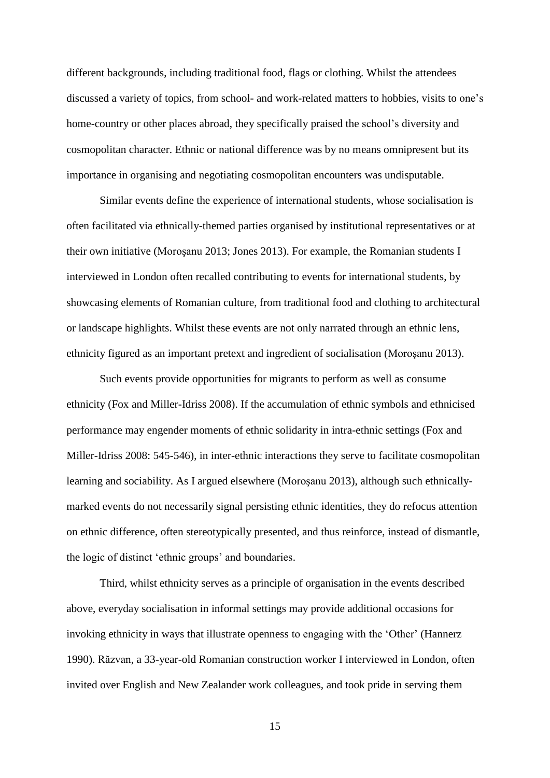different backgrounds, including traditional food, flags or clothing. Whilst the attendees discussed a variety of topics, from school- and work-related matters to hobbies, visits to one's home-country or other places abroad, they specifically praised the school's diversity and cosmopolitan character. Ethnic or national difference was by no means omnipresent but its importance in organising and negotiating cosmopolitan encounters was undisputable.

Similar events define the experience of international students, whose socialisation is often facilitated via ethnically-themed parties organised by institutional representatives or at their own initiative (Moroşanu 2013; Jones 2013). For example, the Romanian students I interviewed in London often recalled contributing to events for international students, by showcasing elements of Romanian culture, from traditional food and clothing to architectural or landscape highlights. Whilst these events are not only narrated through an ethnic lens, ethnicity figured as an important pretext and ingredient of socialisation (Moroşanu 2013).

Such events provide opportunities for migrants to perform as well as consume ethnicity (Fox and Miller-Idriss 2008). If the accumulation of ethnic symbols and ethnicised performance may engender moments of ethnic solidarity in intra-ethnic settings (Fox and Miller-Idriss 2008: 545-546), in inter-ethnic interactions they serve to facilitate cosmopolitan learning and sociability. As I argued elsewhere (Moroşanu 2013), although such ethnicallymarked events do not necessarily signal persisting ethnic identities, they do refocus attention on ethnic difference, often stereotypically presented, and thus reinforce, instead of dismantle, the logic of distinct 'ethnic groups' and boundaries.

Third, whilst ethnicity serves as a principle of organisation in the events described above, everyday socialisation in informal settings may provide additional occasions for invoking ethnicity in ways that illustrate openness to engaging with the 'Other' (Hannerz 1990). Răzvan, a 33-year-old Romanian construction worker I interviewed in London, often invited over English and New Zealander work colleagues, and took pride in serving them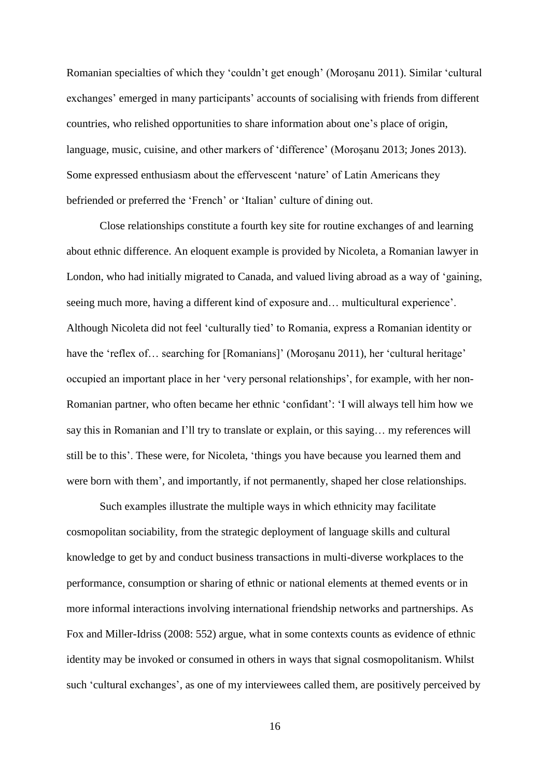Romanian specialties of which they 'couldn't get enough' (Moroşanu 2011). Similar 'cultural exchanges' emerged in many participants' accounts of socialising with friends from different countries, who relished opportunities to share information about one's place of origin, language, music, cuisine, and other markers of 'difference' (Moroşanu 2013; Jones 2013). Some expressed enthusiasm about the effervescent 'nature' of Latin Americans they befriended or preferred the 'French' or 'Italian' culture of dining out.

Close relationships constitute a fourth key site for routine exchanges of and learning about ethnic difference. An eloquent example is provided by Nicoleta, a Romanian lawyer in London, who had initially migrated to Canada, and valued living abroad as a way of 'gaining, seeing much more, having a different kind of exposure and… multicultural experience'. Although Nicoleta did not feel 'culturally tied' to Romania, express a Romanian identity or have the 'reflex of... searching for [Romanians]' (Morosanu 2011), her 'cultural heritage' occupied an important place in her 'very personal relationships', for example, with her non-Romanian partner, who often became her ethnic 'confidant': 'I will always tell him how we say this in Romanian and I'll try to translate or explain, or this saying… my references will still be to this'. These were, for Nicoleta, 'things you have because you learned them and were born with them', and importantly, if not permanently, shaped her close relationships.

Such examples illustrate the multiple ways in which ethnicity may facilitate cosmopolitan sociability, from the strategic deployment of language skills and cultural knowledge to get by and conduct business transactions in multi-diverse workplaces to the performance, consumption or sharing of ethnic or national elements at themed events or in more informal interactions involving international friendship networks and partnerships. As Fox and Miller-Idriss (2008: 552) argue, what in some contexts counts as evidence of ethnic identity may be invoked or consumed in others in ways that signal cosmopolitanism. Whilst such 'cultural exchanges', as one of my interviewees called them, are positively perceived by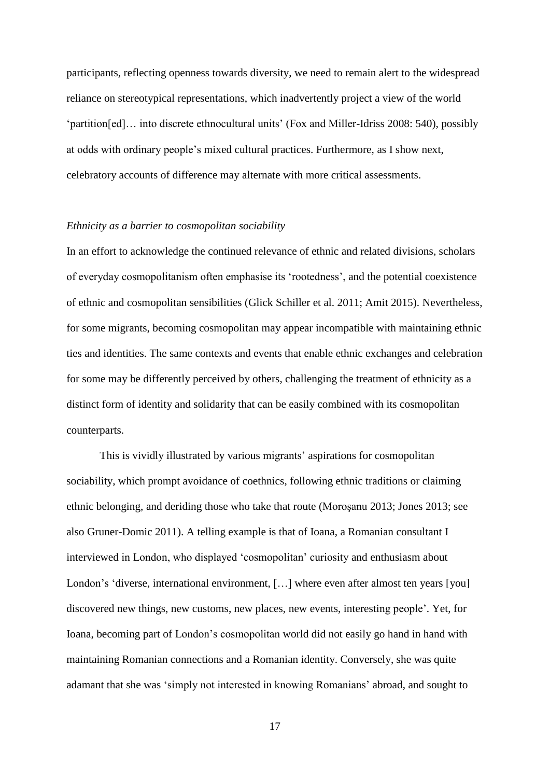participants, reflecting openness towards diversity, we need to remain alert to the widespread reliance on stereotypical representations, which inadvertently project a view of the world 'partition[ed]… into discrete ethnocultural units' (Fox and Miller-Idriss 2008: 540), possibly at odds with ordinary people's mixed cultural practices. Furthermore, as I show next, celebratory accounts of difference may alternate with more critical assessments.

#### *Ethnicity as a barrier to cosmopolitan sociability*

In an effort to acknowledge the continued relevance of ethnic and related divisions, scholars of everyday cosmopolitanism often emphasise its 'rootedness', and the potential coexistence of ethnic and cosmopolitan sensibilities (Glick Schiller et al. 2011; Amit 2015). Nevertheless, for some migrants, becoming cosmopolitan may appear incompatible with maintaining ethnic ties and identities. The same contexts and events that enable ethnic exchanges and celebration for some may be differently perceived by others, challenging the treatment of ethnicity as a distinct form of identity and solidarity that can be easily combined with its cosmopolitan counterparts.

This is vividly illustrated by various migrants' aspirations for cosmopolitan sociability, which prompt avoidance of coethnics, following ethnic traditions or claiming ethnic belonging, and deriding those who take that route (Moroşanu 2013; Jones 2013; see also Gruner-Domic 2011). A telling example is that of Ioana, a Romanian consultant I interviewed in London, who displayed 'cosmopolitan' curiosity and enthusiasm about London's 'diverse, international environment, […] where even after almost ten years [you] discovered new things, new customs, new places, new events, interesting people'. Yet, for Ioana, becoming part of London's cosmopolitan world did not easily go hand in hand with maintaining Romanian connections and a Romanian identity. Conversely, she was quite adamant that she was 'simply not interested in knowing Romanians' abroad, and sought to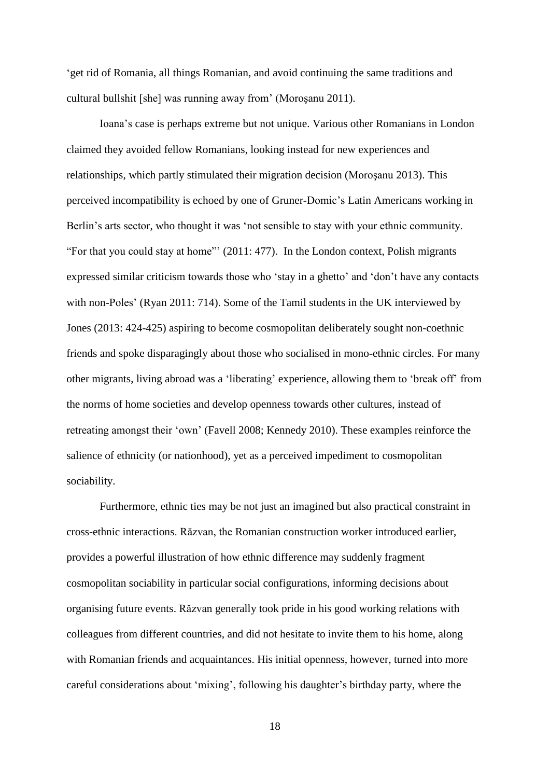'get rid of Romania, all things Romanian, and avoid continuing the same traditions and cultural bullshit [she] was running away from' (Moroşanu 2011).

Ioana's case is perhaps extreme but not unique. Various other Romanians in London claimed they avoided fellow Romanians, looking instead for new experiences and relationships, which partly stimulated their migration decision (Moroşanu 2013). This perceived incompatibility is echoed by one of Gruner-Domic's Latin Americans working in Berlin's arts sector, who thought it was 'not sensible to stay with your ethnic community. "For that you could stay at home"' (2011: 477). In the London context, Polish migrants expressed similar criticism towards those who 'stay in a ghetto' and 'don't have any contacts with non-Poles' (Ryan 2011: 714). Some of the Tamil students in the UK interviewed by Jones (2013: 424-425) aspiring to become cosmopolitan deliberately sought non-coethnic friends and spoke disparagingly about those who socialised in mono-ethnic circles. For many other migrants, living abroad was a 'liberating' experience, allowing them to 'break off' from the norms of home societies and develop openness towards other cultures, instead of retreating amongst their 'own' (Favell 2008; Kennedy 2010). These examples reinforce the salience of ethnicity (or nationhood), yet as a perceived impediment to cosmopolitan sociability.

Furthermore, ethnic ties may be not just an imagined but also practical constraint in cross-ethnic interactions. Răzvan, the Romanian construction worker introduced earlier, provides a powerful illustration of how ethnic difference may suddenly fragment cosmopolitan sociability in particular social configurations, informing decisions about organising future events. Răzvan generally took pride in his good working relations with colleagues from different countries, and did not hesitate to invite them to his home, along with Romanian friends and acquaintances. His initial openness, however, turned into more careful considerations about 'mixing', following his daughter's birthday party, where the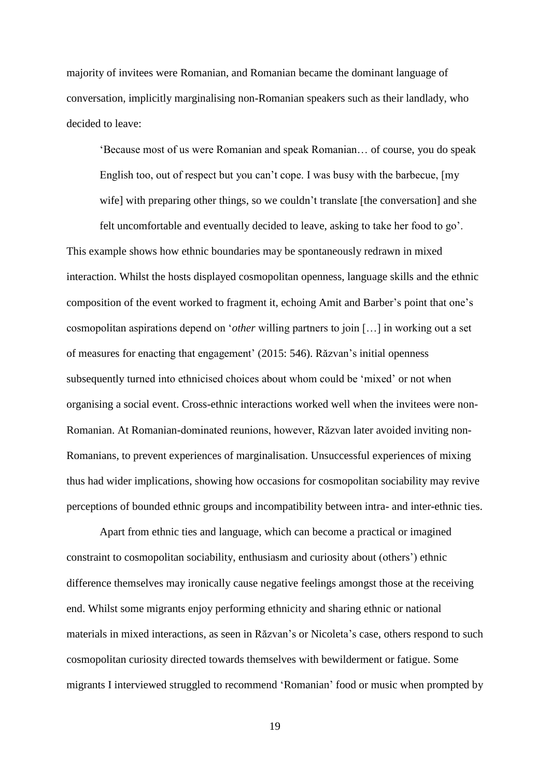majority of invitees were Romanian, and Romanian became the dominant language of conversation, implicitly marginalising non-Romanian speakers such as their landlady, who decided to leave:

'Because most of us were Romanian and speak Romanian… of course, you do speak English too, out of respect but you can't cope. I was busy with the barbecue, [my wife] with preparing other things, so we couldn't translate [the conversation] and she felt uncomfortable and eventually decided to leave, asking to take her food to go'.

This example shows how ethnic boundaries may be spontaneously redrawn in mixed interaction. Whilst the hosts displayed cosmopolitan openness, language skills and the ethnic composition of the event worked to fragment it, echoing Amit and Barber's point that one's cosmopolitan aspirations depend on '*other* willing partners to join […] in working out a set of measures for enacting that engagement' (2015: 546). Răzvan's initial openness subsequently turned into ethnicised choices about whom could be 'mixed' or not when organising a social event. Cross-ethnic interactions worked well when the invitees were non-Romanian. At Romanian-dominated reunions, however, Răzvan later avoided inviting non-Romanians, to prevent experiences of marginalisation. Unsuccessful experiences of mixing thus had wider implications, showing how occasions for cosmopolitan sociability may revive perceptions of bounded ethnic groups and incompatibility between intra- and inter-ethnic ties.

Apart from ethnic ties and language, which can become a practical or imagined constraint to cosmopolitan sociability, enthusiasm and curiosity about (others') ethnic difference themselves may ironically cause negative feelings amongst those at the receiving end. Whilst some migrants enjoy performing ethnicity and sharing ethnic or national materials in mixed interactions, as seen in Răzvan's or Nicoleta's case, others respond to such cosmopolitan curiosity directed towards themselves with bewilderment or fatigue. Some migrants I interviewed struggled to recommend 'Romanian' food or music when prompted by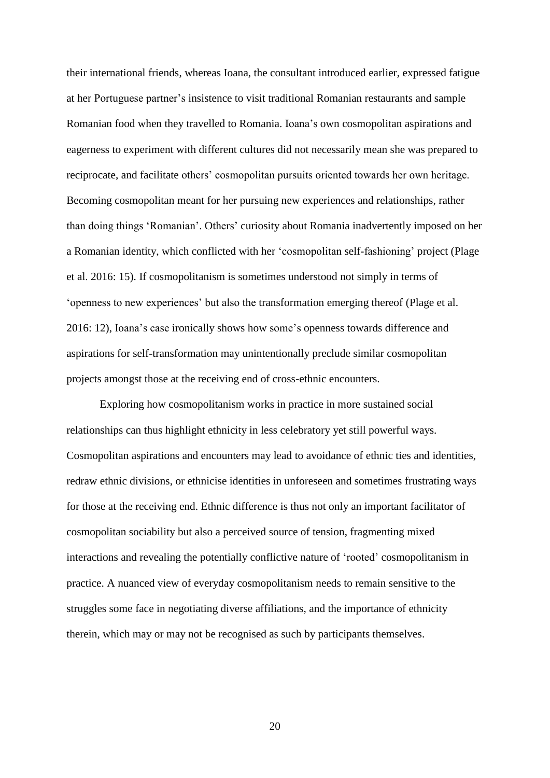their international friends, whereas Ioana, the consultant introduced earlier, expressed fatigue at her Portuguese partner's insistence to visit traditional Romanian restaurants and sample Romanian food when they travelled to Romania. Ioana's own cosmopolitan aspirations and eagerness to experiment with different cultures did not necessarily mean she was prepared to reciprocate, and facilitate others' cosmopolitan pursuits oriented towards her own heritage. Becoming cosmopolitan meant for her pursuing new experiences and relationships, rather than doing things 'Romanian'. Others' curiosity about Romania inadvertently imposed on her a Romanian identity, which conflicted with her 'cosmopolitan self-fashioning' project (Plage et al. 2016: 15). If cosmopolitanism is sometimes understood not simply in terms of 'openness to new experiences' but also the transformation emerging thereof (Plage et al. 2016: 12), Ioana's case ironically shows how some's openness towards difference and aspirations for self-transformation may unintentionally preclude similar cosmopolitan projects amongst those at the receiving end of cross-ethnic encounters.

Exploring how cosmopolitanism works in practice in more sustained social relationships can thus highlight ethnicity in less celebratory yet still powerful ways. Cosmopolitan aspirations and encounters may lead to avoidance of ethnic ties and identities, redraw ethnic divisions, or ethnicise identities in unforeseen and sometimes frustrating ways for those at the receiving end. Ethnic difference is thus not only an important facilitator of cosmopolitan sociability but also a perceived source of tension, fragmenting mixed interactions and revealing the potentially conflictive nature of 'rooted' cosmopolitanism in practice. A nuanced view of everyday cosmopolitanism needs to remain sensitive to the struggles some face in negotiating diverse affiliations, and the importance of ethnicity therein, which may or may not be recognised as such by participants themselves.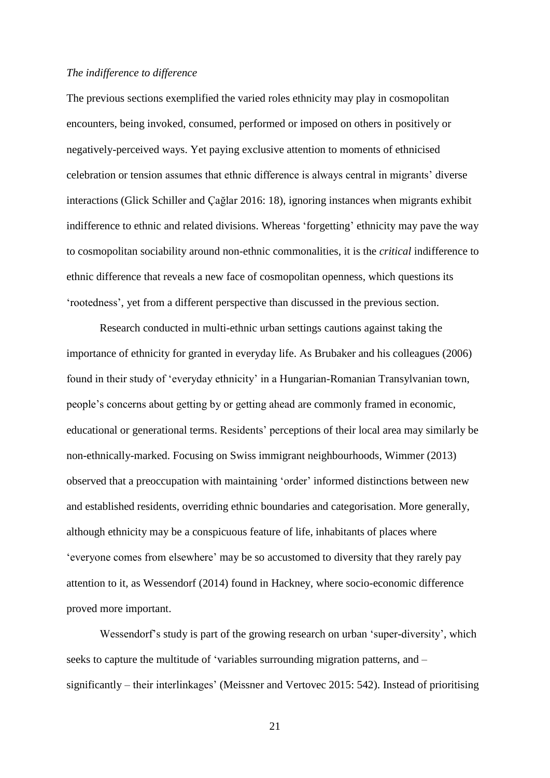#### *The indifference to difference*

The previous sections exemplified the varied roles ethnicity may play in cosmopolitan encounters, being invoked, consumed, performed or imposed on others in positively or negatively-perceived ways. Yet paying exclusive attention to moments of ethnicised celebration or tension assumes that ethnic difference is always central in migrants' diverse interactions (Glick Schiller and Çağlar 2016: 18), ignoring instances when migrants exhibit indifference to ethnic and related divisions. Whereas 'forgetting' ethnicity may pave the way to cosmopolitan sociability around non-ethnic commonalities, it is the *critical* indifference to ethnic difference that reveals a new face of cosmopolitan openness, which questions its 'rootedness', yet from a different perspective than discussed in the previous section.

Research conducted in multi-ethnic urban settings cautions against taking the importance of ethnicity for granted in everyday life. As Brubaker and his colleagues (2006) found in their study of 'everyday ethnicity' in a Hungarian-Romanian Transylvanian town, people's concerns about getting by or getting ahead are commonly framed in economic, educational or generational terms. Residents' perceptions of their local area may similarly be non-ethnically-marked. Focusing on Swiss immigrant neighbourhoods, Wimmer (2013) observed that a preoccupation with maintaining 'order' informed distinctions between new and established residents, overriding ethnic boundaries and categorisation. More generally, although ethnicity may be a conspicuous feature of life, inhabitants of places where 'everyone comes from elsewhere' may be so accustomed to diversity that they rarely pay attention to it, as Wessendorf (2014) found in Hackney, where socio-economic difference proved more important.

Wessendorf's study is part of the growing research on urban 'super-diversity', which seeks to capture the multitude of 'variables surrounding migration patterns, and – significantly – their interlinkages' (Meissner and Vertovec 2015: 542). Instead of prioritising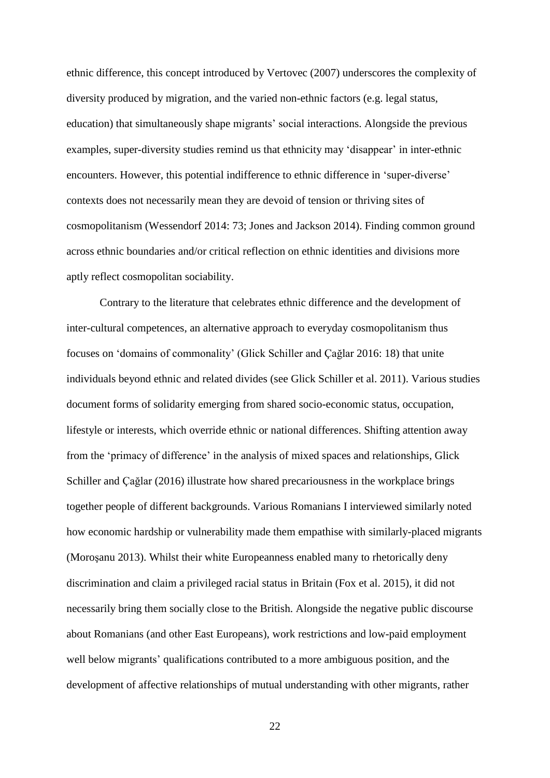ethnic difference, this concept introduced by Vertovec (2007) underscores the complexity of diversity produced by migration, and the varied non-ethnic factors (e.g. legal status, education) that simultaneously shape migrants' social interactions. Alongside the previous examples, super-diversity studies remind us that ethnicity may 'disappear' in inter-ethnic encounters. However, this potential indifference to ethnic difference in 'super-diverse' contexts does not necessarily mean they are devoid of tension or thriving sites of cosmopolitanism (Wessendorf 2014: 73; Jones and Jackson 2014). Finding common ground across ethnic boundaries and/or critical reflection on ethnic identities and divisions more aptly reflect cosmopolitan sociability.

Contrary to the literature that celebrates ethnic difference and the development of inter-cultural competences, an alternative approach to everyday cosmopolitanism thus focuses on 'domains of commonality' (Glick Schiller and Çağlar 2016: 18) that unite individuals beyond ethnic and related divides (see Glick Schiller et al. 2011). Various studies document forms of solidarity emerging from shared socio-economic status, occupation, lifestyle or interests, which override ethnic or national differences. Shifting attention away from the 'primacy of difference' in the analysis of mixed spaces and relationships, Glick Schiller and Çağlar (2016) illustrate how shared precariousness in the workplace brings together people of different backgrounds. Various Romanians I interviewed similarly noted how economic hardship or vulnerability made them empathise with similarly-placed migrants (Moroşanu 2013). Whilst their white Europeanness enabled many to rhetorically deny discrimination and claim a privileged racial status in Britain (Fox et al. 2015), it did not necessarily bring them socially close to the British. Alongside the negative public discourse about Romanians (and other East Europeans), work restrictions and low-paid employment well below migrants' qualifications contributed to a more ambiguous position, and the development of affective relationships of mutual understanding with other migrants, rather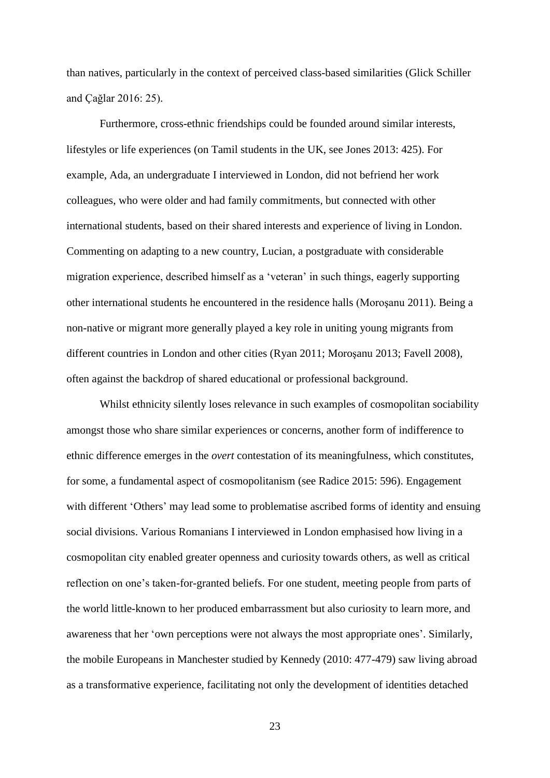than natives, particularly in the context of perceived class-based similarities (Glick Schiller and Çağlar 2016: 25).

Furthermore, cross-ethnic friendships could be founded around similar interests, lifestyles or life experiences (on Tamil students in the UK, see Jones 2013: 425). For example, Ada, an undergraduate I interviewed in London, did not befriend her work colleagues, who were older and had family commitments, but connected with other international students, based on their shared interests and experience of living in London. Commenting on adapting to a new country, Lucian, a postgraduate with considerable migration experience, described himself as a 'veteran' in such things, eagerly supporting other international students he encountered in the residence halls (Moroşanu 2011). Being a non-native or migrant more generally played a key role in uniting young migrants from different countries in London and other cities (Ryan 2011; Moroşanu 2013; Favell 2008), often against the backdrop of shared educational or professional background.

Whilst ethnicity silently loses relevance in such examples of cosmopolitan sociability amongst those who share similar experiences or concerns, another form of indifference to ethnic difference emerges in the *overt* contestation of its meaningfulness, which constitutes, for some, a fundamental aspect of cosmopolitanism (see Radice 2015: 596). Engagement with different 'Others' may lead some to problematise ascribed forms of identity and ensuing social divisions. Various Romanians I interviewed in London emphasised how living in a cosmopolitan city enabled greater openness and curiosity towards others, as well as critical reflection on one's taken-for-granted beliefs. For one student, meeting people from parts of the world little-known to her produced embarrassment but also curiosity to learn more, and awareness that her 'own perceptions were not always the most appropriate ones'. Similarly, the mobile Europeans in Manchester studied by Kennedy (2010: 477-479) saw living abroad as a transformative experience, facilitating not only the development of identities detached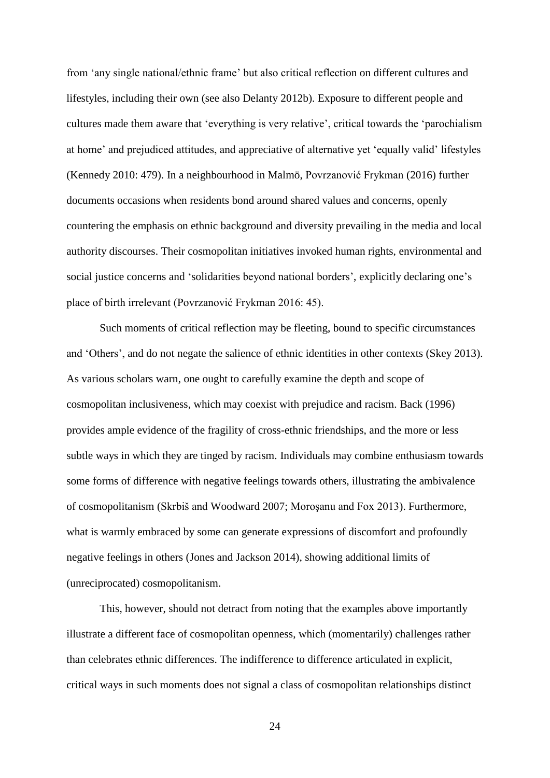from 'any single national/ethnic frame' but also critical reflection on different cultures and lifestyles, including their own (see also Delanty 2012b). Exposure to different people and cultures made them aware that 'everything is very relative', critical towards the 'parochialism at home' and prejudiced attitudes, and appreciative of alternative yet 'equally valid' lifestyles (Kennedy 2010: 479). In a neighbourhood in Malmö, Povrzanović Frykman (2016) further documents occasions when residents bond around shared values and concerns, openly countering the emphasis on ethnic background and diversity prevailing in the media and local authority discourses. Their cosmopolitan initiatives invoked human rights, environmental and social justice concerns and 'solidarities beyond national borders', explicitly declaring one's place of birth irrelevant (Povrzanović Frykman 2016: 45).

Such moments of critical reflection may be fleeting, bound to specific circumstances and 'Others', and do not negate the salience of ethnic identities in other contexts (Skey 2013). As various scholars warn, one ought to carefully examine the depth and scope of cosmopolitan inclusiveness, which may coexist with prejudice and racism. Back (1996) provides ample evidence of the fragility of cross-ethnic friendships, and the more or less subtle ways in which they are tinged by racism. Individuals may combine enthusiasm towards some forms of difference with negative feelings towards others, illustrating the ambivalence of cosmopolitanism (Skrbiš and Woodward 2007; Moroşanu and Fox 2013). Furthermore, what is warmly embraced by some can generate expressions of discomfort and profoundly negative feelings in others (Jones and Jackson 2014), showing additional limits of (unreciprocated) cosmopolitanism.

This, however, should not detract from noting that the examples above importantly illustrate a different face of cosmopolitan openness, which (momentarily) challenges rather than celebrates ethnic differences. The indifference to difference articulated in explicit, critical ways in such moments does not signal a class of cosmopolitan relationships distinct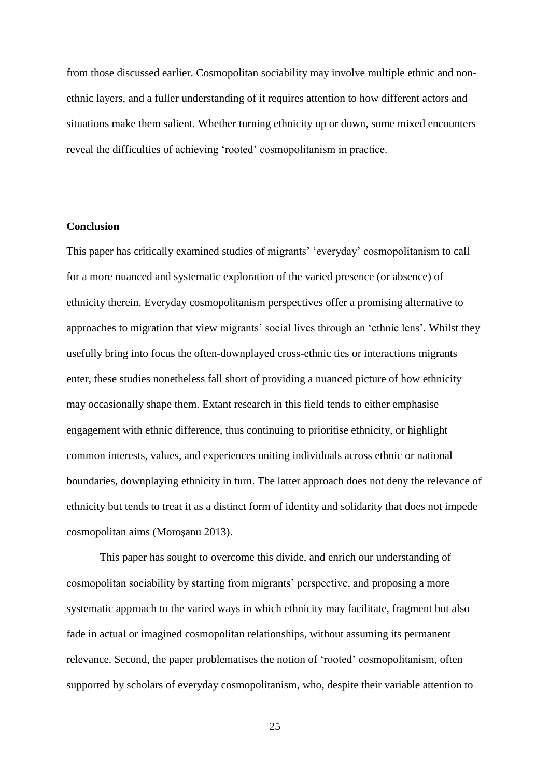from those discussed earlier. Cosmopolitan sociability may involve multiple ethnic and nonethnic layers, and a fuller understanding of it requires attention to how different actors and situations make them salient. Whether turning ethnicity up or down, some mixed encounters reveal the difficulties of achieving 'rooted' cosmopolitanism in practice.

#### **Conclusion**

This paper has critically examined studies of migrants' 'everyday' cosmopolitanism to call for a more nuanced and systematic exploration of the varied presence (or absence) of ethnicity therein. Everyday cosmopolitanism perspectives offer a promising alternative to approaches to migration that view migrants' social lives through an 'ethnic lens'. Whilst they usefully bring into focus the often-downplayed cross-ethnic ties or interactions migrants enter, these studies nonetheless fall short of providing a nuanced picture of how ethnicity may occasionally shape them. Extant research in this field tends to either emphasise engagement with ethnic difference, thus continuing to prioritise ethnicity, or highlight common interests, values, and experiences uniting individuals across ethnic or national boundaries, downplaying ethnicity in turn. The latter approach does not deny the relevance of ethnicity but tends to treat it as a distinct form of identity and solidarity that does not impede cosmopolitan aims (Moroşanu 2013).

This paper has sought to overcome this divide, and enrich our understanding of cosmopolitan sociability by starting from migrants' perspective, and proposing a more systematic approach to the varied ways in which ethnicity may facilitate, fragment but also fade in actual or imagined cosmopolitan relationships, without assuming its permanent relevance. Second, the paper problematises the notion of 'rooted' cosmopolitanism, often supported by scholars of everyday cosmopolitanism, who, despite their variable attention to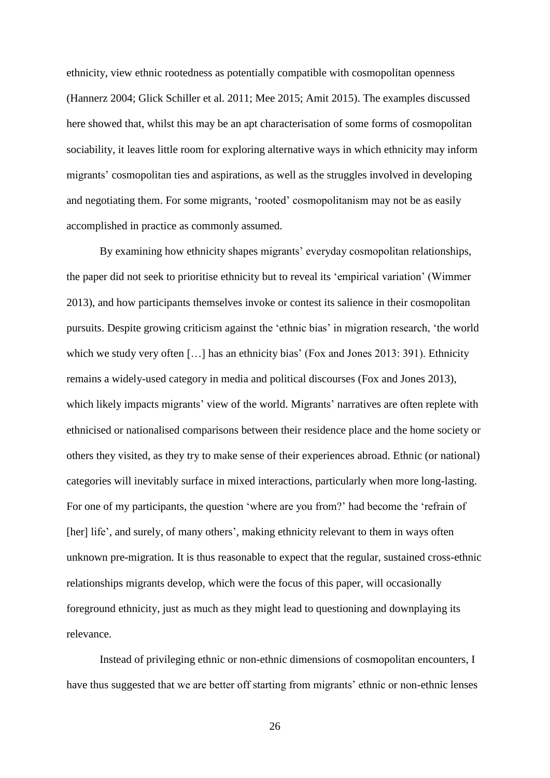ethnicity, view ethnic rootedness as potentially compatible with cosmopolitan openness (Hannerz 2004; Glick Schiller et al. 2011; Mee 2015; Amit 2015). The examples discussed here showed that, whilst this may be an apt characterisation of some forms of cosmopolitan sociability, it leaves little room for exploring alternative ways in which ethnicity may inform migrants' cosmopolitan ties and aspirations, as well as the struggles involved in developing and negotiating them. For some migrants, 'rooted' cosmopolitanism may not be as easily accomplished in practice as commonly assumed.

By examining how ethnicity shapes migrants' everyday cosmopolitan relationships, the paper did not seek to prioritise ethnicity but to reveal its 'empirical variation' (Wimmer 2013), and how participants themselves invoke or contest its salience in their cosmopolitan pursuits. Despite growing criticism against the 'ethnic bias' in migration research, 'the world which we study very often [...] has an ethnicity bias' (Fox and Jones 2013: 391). Ethnicity remains a widely-used category in media and political discourses (Fox and Jones 2013), which likely impacts migrants' view of the world. Migrants' narratives are often replete with ethnicised or nationalised comparisons between their residence place and the home society or others they visited, as they try to make sense of their experiences abroad. Ethnic (or national) categories will inevitably surface in mixed interactions, particularly when more long-lasting. For one of my participants, the question 'where are you from?' had become the 'refrain of [her] life', and surely, of many others', making ethnicity relevant to them in ways often unknown pre-migration. It is thus reasonable to expect that the regular, sustained cross-ethnic relationships migrants develop, which were the focus of this paper, will occasionally foreground ethnicity, just as much as they might lead to questioning and downplaying its relevance.

Instead of privileging ethnic or non-ethnic dimensions of cosmopolitan encounters, I have thus suggested that we are better off starting from migrants' ethnic or non-ethnic lenses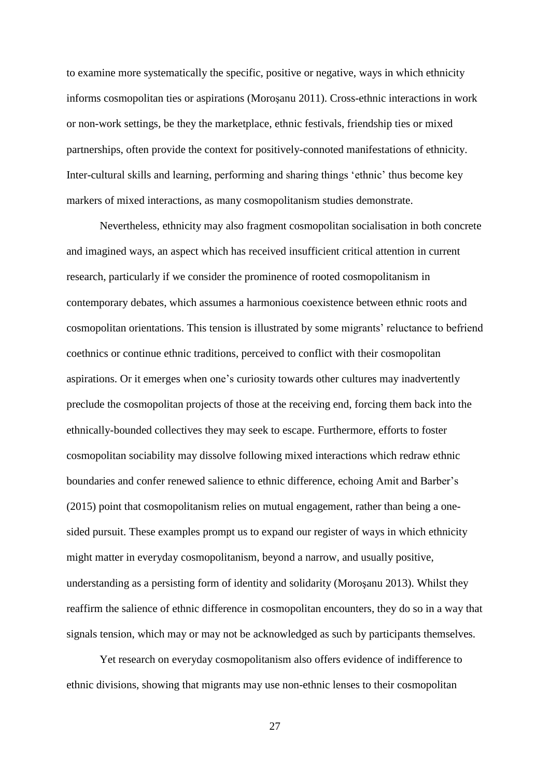to examine more systematically the specific, positive or negative, ways in which ethnicity informs cosmopolitan ties or aspirations (Moroşanu 2011). Cross-ethnic interactions in work or non-work settings, be they the marketplace, ethnic festivals, friendship ties or mixed partnerships, often provide the context for positively-connoted manifestations of ethnicity. Inter-cultural skills and learning, performing and sharing things 'ethnic' thus become key markers of mixed interactions, as many cosmopolitanism studies demonstrate.

Nevertheless, ethnicity may also fragment cosmopolitan socialisation in both concrete and imagined ways, an aspect which has received insufficient critical attention in current research, particularly if we consider the prominence of rooted cosmopolitanism in contemporary debates, which assumes a harmonious coexistence between ethnic roots and cosmopolitan orientations. This tension is illustrated by some migrants' reluctance to befriend coethnics or continue ethnic traditions, perceived to conflict with their cosmopolitan aspirations. Or it emerges when one's curiosity towards other cultures may inadvertently preclude the cosmopolitan projects of those at the receiving end, forcing them back into the ethnically-bounded collectives they may seek to escape. Furthermore, efforts to foster cosmopolitan sociability may dissolve following mixed interactions which redraw ethnic boundaries and confer renewed salience to ethnic difference, echoing Amit and Barber's (2015) point that cosmopolitanism relies on mutual engagement, rather than being a onesided pursuit. These examples prompt us to expand our register of ways in which ethnicity might matter in everyday cosmopolitanism, beyond a narrow, and usually positive, understanding as a persisting form of identity and solidarity (Moroşanu 2013). Whilst they reaffirm the salience of ethnic difference in cosmopolitan encounters, they do so in a way that signals tension, which may or may not be acknowledged as such by participants themselves.

Yet research on everyday cosmopolitanism also offers evidence of indifference to ethnic divisions, showing that migrants may use non-ethnic lenses to their cosmopolitan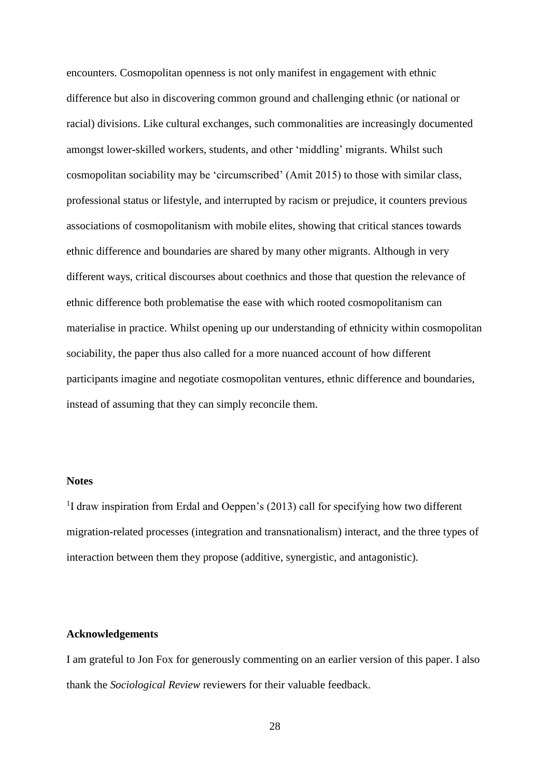encounters. Cosmopolitan openness is not only manifest in engagement with ethnic difference but also in discovering common ground and challenging ethnic (or national or racial) divisions. Like cultural exchanges, such commonalities are increasingly documented amongst lower-skilled workers, students, and other 'middling' migrants. Whilst such cosmopolitan sociability may be 'circumscribed' (Amit 2015) to those with similar class, professional status or lifestyle, and interrupted by racism or prejudice, it counters previous associations of cosmopolitanism with mobile elites, showing that critical stances towards ethnic difference and boundaries are shared by many other migrants. Although in very different ways, critical discourses about coethnics and those that question the relevance of ethnic difference both problematise the ease with which rooted cosmopolitanism can materialise in practice. Whilst opening up our understanding of ethnicity within cosmopolitan sociability, the paper thus also called for a more nuanced account of how different participants imagine and negotiate cosmopolitan ventures, ethnic difference and boundaries, instead of assuming that they can simply reconcile them.

#### **Notes**

<sup>1</sup>I draw inspiration from Erdal and Oeppen's (2013) call for specifying how two different migration-related processes (integration and transnationalism) interact, and the three types of interaction between them they propose (additive, synergistic, and antagonistic).

#### **Acknowledgements**

I am grateful to Jon Fox for generously commenting on an earlier version of this paper. I also thank the *Sociological Review* reviewers for their valuable feedback.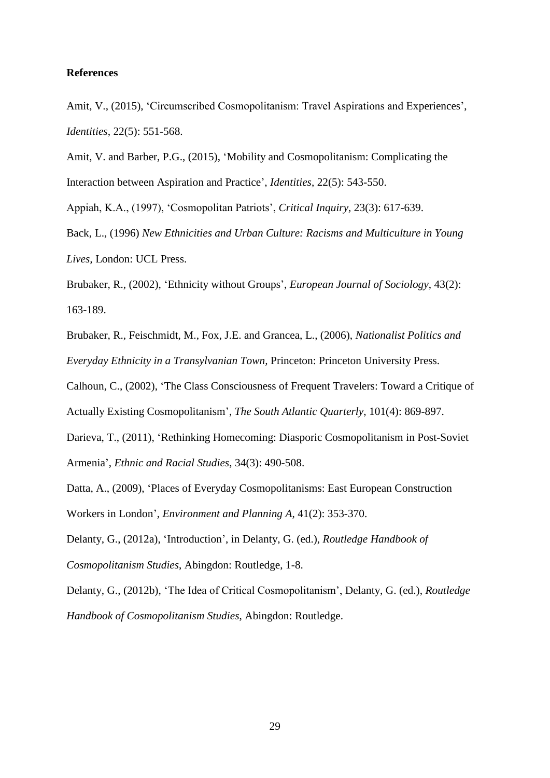#### **References**

Amit, V., (2015), 'Circumscribed Cosmopolitanism: Travel Aspirations and Experiences', *Identities*, 22(5): 551-568.

Amit, V. and Barber, P.G., (2015), 'Mobility and Cosmopolitanism: Complicating the Interaction between Aspiration and Practice', *Identities*, 22(5): 543-550.

Appiah, K.A., (1997), 'Cosmopolitan Patriots', *Critical Inquiry,* 23(3): 617-639.

Back, L., (1996) *New Ethnicities and Urban Culture: Racisms and Multiculture in Young Lives,* London: UCL Press.

Brubaker, R., (2002), 'Ethnicity without Groups', *European Journal of Sociology*, 43(2): 163-189.

Brubaker, R., Feischmidt, M., Fox, J.E. and Grancea, L., (2006), *Nationalist Politics and Everyday Ethnicity in a Transylvanian Town,* Princeton: Princeton University Press.

Calhoun, C., (2002), 'The Class Consciousness of Frequent Travelers: Toward a Critique of

Actually Existing Cosmopolitanism', *The South Atlantic Quarterly*, 101(4): 869-897.

Darieva, T., (2011), 'Rethinking Homecoming: Diasporic Cosmopolitanism in Post-Soviet Armenia', *Ethnic and Racial Studies*, 34(3): 490-508.

Datta, A., (2009), 'Places of Everyday Cosmopolitanisms: East European Construction Workers in London', *Environment and Planning A*, 41(2): 353-370.

Delanty, G., (2012a), 'Introduction', in Delanty, G. (ed.), *Routledge Handbook of Cosmopolitanism Studies*, Abingdon: Routledge, 1-8.

Delanty, G., (2012b), 'The Idea of Critical Cosmopolitanism', Delanty, G. (ed.), *Routledge Handbook of Cosmopolitanism Studies*, Abingdon: Routledge.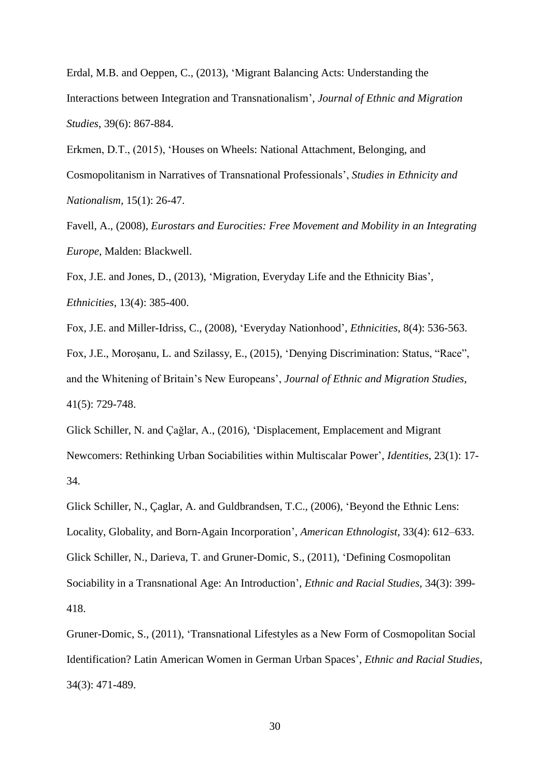Erdal, M.B. and Oeppen, C., (2013), 'Migrant Balancing Acts: Understanding the Interactions between Integration and Transnationalism', *Journal of Ethnic and Migration Studies*, 39(6): 867-884.

Erkmen, D.T., (2015), 'Houses on Wheels: National Attachment, Belonging, and Cosmopolitanism in Narratives of Transnational Professionals', *Studies in Ethnicity and Nationalism,* 15(1): 26-47.

Favell, A., (2008), *Eurostars and Eurocities: Free Movement and Mobility in an Integrating Europe,* Malden: Blackwell.

Fox, J.E. and Jones, D., (2013), 'Migration, Everyday Life and the Ethnicity Bias', *Ethnicities*, 13(4): 385-400.

Fox, J.E. and Miller-Idriss, C., (2008), 'Everyday Nationhood', *Ethnicities*, 8(4): 536-563. Fox, J.E., Moroşanu, L. and Szilassy, E., (2015), 'Denying Discrimination: Status, "Race", and the Whitening of Britain's New Europeans', *Journal of Ethnic and Migration Studies*, 41(5): 729-748.

Glick Schiller, N. and Çağlar, A., (2016), 'Displacement, Emplacement and Migrant Newcomers: Rethinking Urban Sociabilities within Multiscalar Power', *Identities*, 23(1): 17- 34.

Glick Schiller, N., Çaglar, A. and Guldbrandsen, T.C., (2006), 'Beyond the Ethnic Lens: Locality, Globality, and Born-Again Incorporation', *American Ethnologist,* 33(4): 612–633. Glick Schiller, N., Darieva, T. and Gruner-Domic, S., (2011), 'Defining Cosmopolitan Sociability in a Transnational Age: An Introduction', *Ethnic and Racial Studies*, 34(3): 399- 418.

Gruner-Domic, S., (2011), 'Transnational Lifestyles as a New Form of Cosmopolitan Social Identification? Latin American Women in German Urban Spaces', *Ethnic and Racial Studies*, 34(3): 471-489.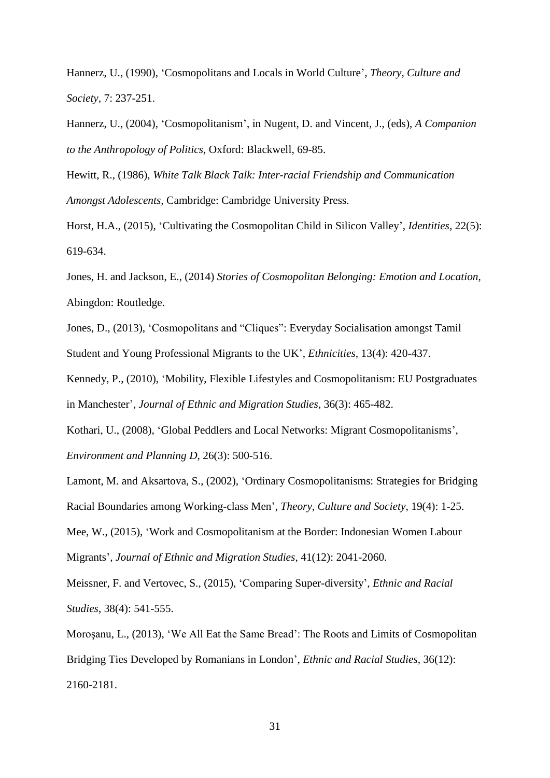Hannerz, U., (1990), 'Cosmopolitans and Locals in World Culture', *Theory, Culture and Society,* 7: 237-251.

Hannerz, U., (2004), 'Cosmopolitanism', in Nugent, D. and Vincent, J., (eds), *A Companion to the Anthropology of Politics,* Oxford: Blackwell, 69-85.

Hewitt, R., (1986), *White Talk Black Talk: Inter-racial Friendship and Communication Amongst Adolescents,* Cambridge: Cambridge University Press.

Horst, H.A., (2015), 'Cultivating the Cosmopolitan Child in Silicon Valley', *Identities,* 22(5): 619-634.

Jones, H. and Jackson, E., (2014) *Stories of Cosmopolitan Belonging: Emotion and Location,*  Abingdon: Routledge.

Jones, D., (2013), 'Cosmopolitans and "Cliques": Everyday Socialisation amongst Tamil Student and Young Professional Migrants to the UK', *Ethnicities,* 13(4): 420-437.

Kennedy, P., (2010), 'Mobility, Flexible Lifestyles and Cosmopolitanism: EU Postgraduates in Manchester', *Journal of Ethnic and Migration Studies*, 36(3): 465-482.

Kothari, U., (2008), 'Global Peddlers and Local Networks: Migrant Cosmopolitanisms', *Environment and Planning D*, 26(3): 500-516.

Lamont, M. and Aksartova, S., (2002), 'Ordinary Cosmopolitanisms: Strategies for Bridging Racial Boundaries among Working-class Men', *Theory, Culture and Society*, 19(4): 1-25.

Mee, W., (2015), 'Work and Cosmopolitanism at the Border: Indonesian Women Labour Migrants', *Journal of Ethnic and Migration Studies*, 41(12): 2041-2060.

Meissner, F. and Vertovec, S., (2015), 'Comparing Super-diversity', *Ethnic and Racial Studies*, 38(4): 541-555.

Moroşanu, L., (2013), 'We All Eat the Same Bread': The Roots and Limits of Cosmopolitan Bridging Ties Developed by Romanians in London', *Ethnic and Racial Studies*, 36(12): 2160-2181.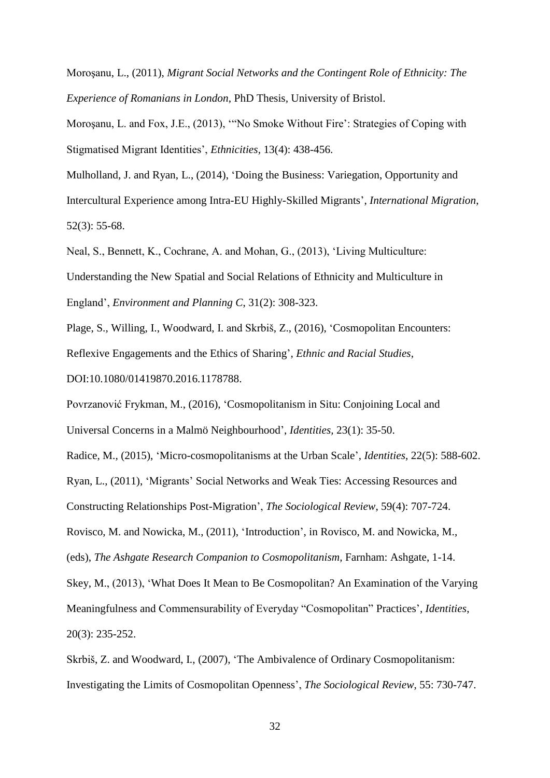Moroşanu, L., (2011), *Migrant Social Networks and the Contingent Role of Ethnicity: The Experience of Romanians in London*, PhD Thesis*,* University of Bristol.

Moroşanu, L. and Fox, J.E., (2013), '"No Smoke Without Fire': Strategies of Coping with Stigmatised Migrant Identities', *Ethnicities,* 13(4): 438-456.

Mulholland, J. and Ryan, L., (2014), 'Doing the Business: Variegation, Opportunity and Intercultural Experience among Intra-EU Highly-Skilled Migrants', *International Migration*, 52(3): 55-68.

Neal, S., Bennett, K., Cochrane, A. and Mohan, G., (2013), 'Living Multiculture: Understanding the New Spatial and Social Relations of Ethnicity and Multiculture in England', *Environment and Planning C*, 31(2): 308-323.

Plage, S., Willing, I., Woodward, I. and Skrbiš, Z., (2016), 'Cosmopolitan Encounters: Reflexive Engagements and the Ethics of Sharing', *Ethnic and Racial Studies,*  DOI:10.1080/01419870.2016.1178788.

Povrzanović Frykman, M., (2016), 'Cosmopolitanism in Situ: Conjoining Local and Universal Concerns in a Malmö Neighbourhood', *Identities,* 23(1): 35-50.

Radice, M., (2015), 'Micro-cosmopolitanisms at the Urban Scale', *Identities*, 22(5): 588-602.

Ryan, L., (2011), 'Migrants' Social Networks and Weak Ties: Accessing Resources and

Constructing Relationships Post-Migration', *The Sociological Review*, 59(4): 707-724.

Rovisco, M. and Nowicka, M., (2011), 'Introduction', in Rovisco, M. and Nowicka, M.,

(eds), *The Ashgate Research Companion to Cosmopolitanism,* Farnham: Ashgate, 1-14.

Skey, M., (2013), 'What Does It Mean to Be Cosmopolitan? An Examination of the Varying

Meaningfulness and Commensurability of Everyday "Cosmopolitan" Practices', *Identities*,

20(3): 235-252.

Skrbiš, Z. and Woodward, I., (2007), 'The Ambivalence of Ordinary Cosmopolitanism: Investigating the Limits of Cosmopolitan Openness', *The Sociological Review*, 55: 730-747.